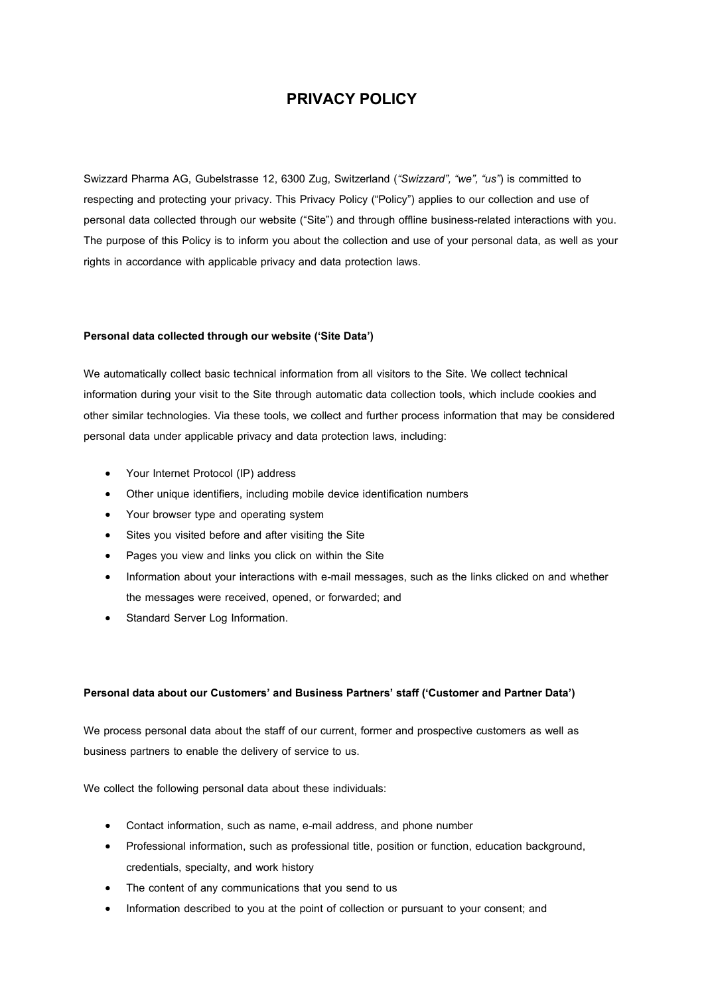# **PRIVACY POLICY**

Swizzard Pharma AG, Gubelstrasse 12, 6300 Zug, Switzerland (*"Swizzard", "we", "us"*) is committed to respecting and protecting your privacy. This Privacy Policy ("Policy") applies to our collection and use of personal data collected through our website ("Site") and through offline business-related interactions with you. The purpose of this Policy is to inform you about the collection and use of your personal data, as well as your rights in accordance with applicable privacy and data protection laws.

#### **Personal data collected through our website ('Site Data')**

We automatically collect basic technical information from all visitors to the Site. We collect technical information during your visit to the Site through automatic data collection tools, which include cookies and other similar technologies. Via these tools, we collect and further process information that may be considered personal data under applicable privacy and data protection laws, including:

- Your Internet Protocol (IP) address
- Other unique identifiers, including mobile device identification numbers
- Your browser type and operating system
- Sites you visited before and after visiting the Site
- Pages you view and links you click on within the Site
- Information about your interactions with e-mail messages, such as the links clicked on and whether the messages were received, opened, or forwarded; and
- Standard Server Log Information.

## **Personal data about our Customers' and Business Partners' staff ('Customer and Partner Data')**

We process personal data about the staff of our current, former and prospective customers as well as business partners to enable the delivery of service to us.

We collect the following personal data about these individuals:

- Contact information, such as name, e-mail address, and phone number
- Professional information, such as professional title, position or function, education background, credentials, specialty, and work history
- The content of any communications that you send to us
- Information described to you at the point of collection or pursuant to your consent; and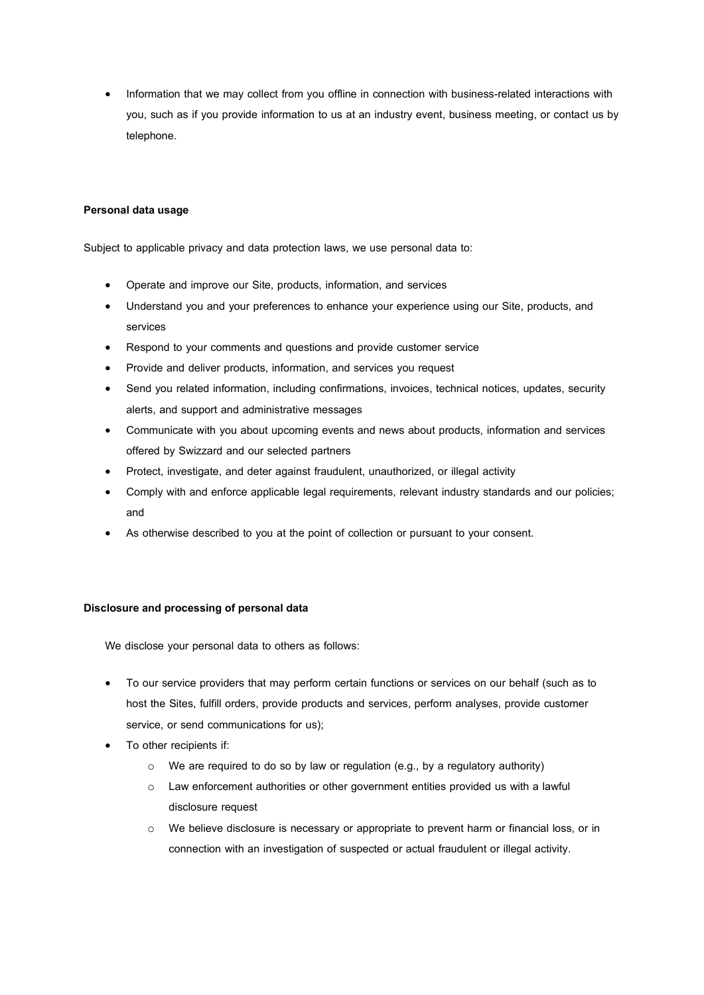• Information that we may collect from you offline in connection with business-related interactions with you, such as if you provide information to us at an industry event, business meeting, or contact us by telephone.

## **Personal data usage**

Subject to applicable privacy and data protection laws, we use personal data to:

- Operate and improve our Site, products, information, and services
- Understand you and your preferences to enhance your experience using our Site, products, and services
- Respond to your comments and questions and provide customer service
- Provide and deliver products, information, and services you request
- Send you related information, including confirmations, invoices, technical notices, updates, security alerts, and support and administrative messages
- Communicate with you about upcoming events and news about products, information and services offered by Swizzard and our selected partners
- Protect, investigate, and deter against fraudulent, unauthorized, or illegal activity
- Comply with and enforce applicable legal requirements, relevant industry standards and our policies; and
- As otherwise described to you at the point of collection or pursuant to your consent.

#### **Disclosure and processing of personal data**

We disclose your personal data to others as follows:

- To our service providers that may perform certain functions or services on our behalf (such as to host the Sites, fulfill orders, provide products and services, perform analyses, provide customer service, or send communications for us);
- To other recipients if:
	- o We are required to do so by law or regulation (e.g., by a regulatory authority)
	- o Law enforcement authorities or other government entities provided us with a lawful disclosure request
	- o We believe disclosure is necessary or appropriate to prevent harm or financial loss, or in connection with an investigation of suspected or actual fraudulent or illegal activity.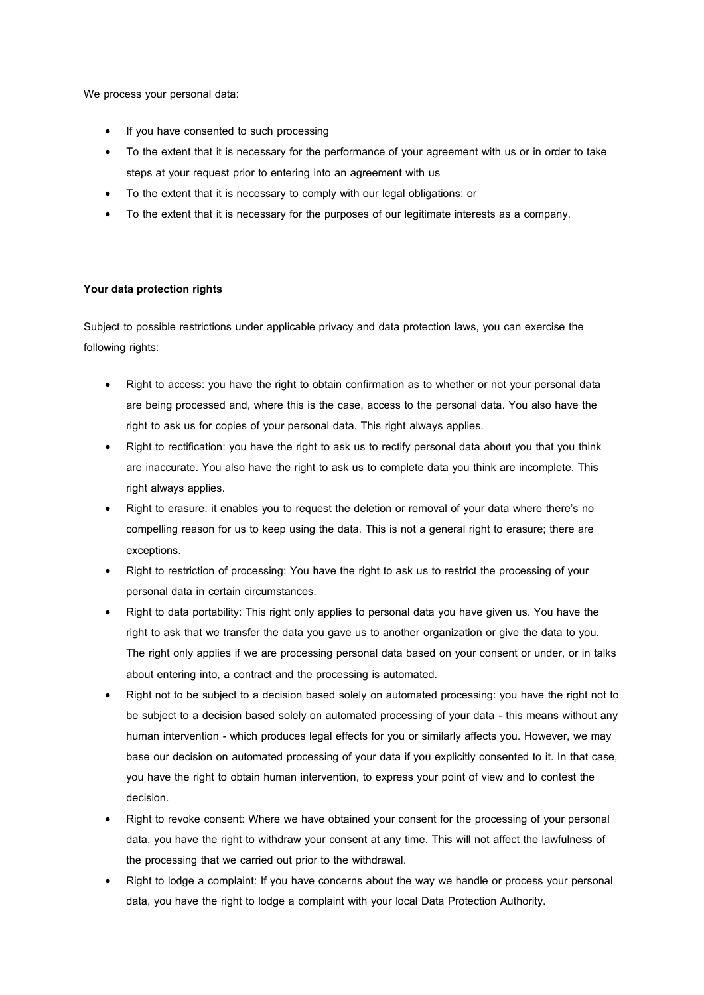We process your personal data:

- If you have consented to such processing
- To the extent that it is necessary for the performance of your agreement with us or in order to take steps at your request prior to entering into an agreement with us
- To the extent that it is necessary to comply with our legal obligations; or
- To the extent that it is necessary for the purposes of our legitimate interests as a company.

#### **Your data protection rights**

Subject to possible restrictions under applicable privacy and data protection laws, you can exercise the following rights:

- Right to access: you have the right to obtain confirmation as to whether or not your personal data are being processed and, where this is the case, access to the personal data. You also have the right to ask us for copies of your personal data. This right always applies.
- Right to rectification: you have the right to ask us to rectify personal data about you that you think are inaccurate. You also have the right to ask us to complete data you think are incomplete. This right always applies.
- Right to erasure: it enables you to request the deletion or removal of your data where there's no compelling reason for us to keep using the data. This is not a general right to erasure; there are exceptions.
- Right to restriction of processing: You have the right to ask us to restrict the processing of your personal data in certain circumstances.
- Right to data portability: This right only applies to personal data you have given us. You have the right to ask that we transfer the data you gave us to another organization or give the data to you. The right only applies if we are processing personal data based on your consent or under, or in talks about entering into, a contract and the processing is automated.
- Right not to be subject to a decision based solely on automated processing: you have the right not to be subject to a decision based solely on automated processing of your data - this means without any human intervention - which produces legal effects for you or similarly affects you. However, we may base our decision on automated processing of your data if you explicitly consented to it. In that case, you have the right to obtain human intervention, to express your point of view and to contest the decision.
- Right to revoke consent: Where we have obtained your consent for the processing of your personal data, you have the right to withdraw your consent at any time. This will not affect the lawfulness of the processing that we carried out prior to the withdrawal.
- Right to lodge a complaint: If you have concerns about the way we handle or process your personal data, you have the right to lodge a complaint with your local Data Protection Authority.